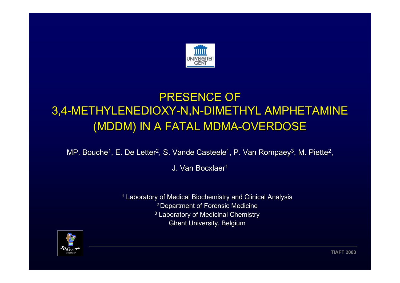

# **PRESENCE OF** 3,4-METHYLENEDIOXY-N,N-DIMETHYL AMPHETAMINE (MDDM) IN A FATAL MDMA-OVERDOSE

MP. Bouche<sup>1</sup>, E. De Letter<sup>2</sup>, S. Vande Casteele<sup>1</sup>, P. Van Rompaey<sup>3</sup>, M. Piette<sup>2</sup>,

J. Van Bocxlaer<sup>1</sup>

 $^\text{\tiny{1}}$  Laboratory of Medical Biochemistry and Clinical Analysis <sup>2</sup> Department of Forensic Medicine  $^3$  Laboratory of Medicinal Chemistry  $\,$ Ghent University, Belgium

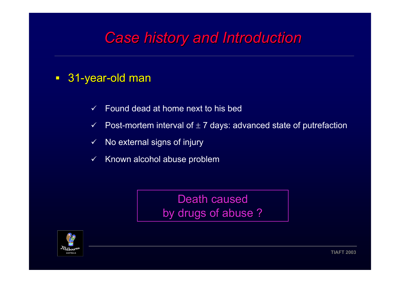# *Case history and Introduction Case history and Introduction*

## ■ 31-year-old man

- $\checkmark$ Found dead at home next to his bed
- $\checkmark$  $\checkmark$  Post-mortem interval of  $\pm$  7 days: advanced state of putrefaction
- $\checkmark$ No external signs of injury
- $\checkmark$ Known alcohol abuse problem

Death caused by drugs of abuse ?

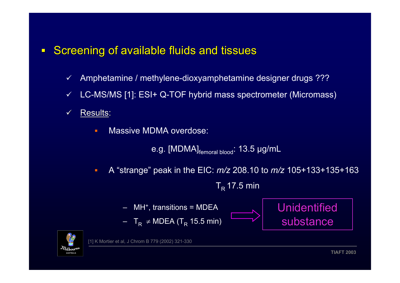#### $\blacksquare$ Screening of available fluids and tissues

- $\checkmark$ Amphetamine / methylene-dioxyamphetamine designer drugs ???
- $\checkmark$ LC-MS/MS [1]: ESI+ Q-TOF hybrid mass spectrometer (Micromass)
- $\checkmark$ Results:
	- ٠ Massive MDMA overdose:

e.g. [MDMA]<sub>femoral blood</sub>: 13.5 µg/mL

 $\blacksquare$ A "strange" peak in the EIC: *m/z* 208.10 to *m/z* 105+133+135+163

 $T_R$  17.5 min

- $MH<sup>+</sup>,$  transitions = MDEA
- $\,$  T $_{\mathsf{R}}$  ≠ MDEA (T $_{\mathsf{R}}$  15.5 min)





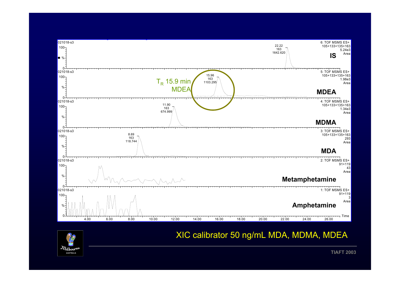

## XIC calibrator 50 ng/mL MDA, MDMA, MDEA

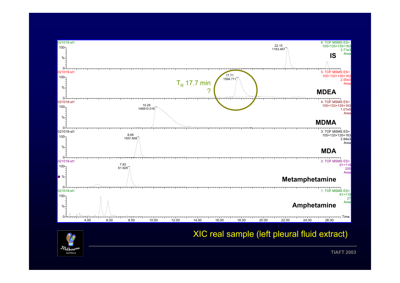

## XIC real sample (left pleural fluid extract)

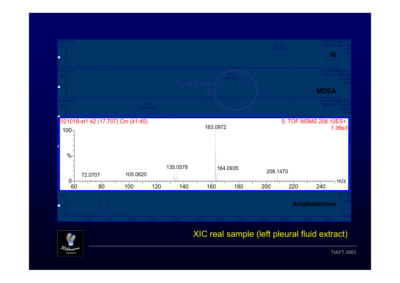

## XIC real sample (left pleural fluid extract)

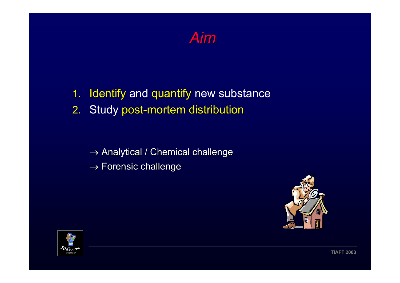

- 1. Identify and quantify new substance
- 2. Study post-mortem distribution

 $\rightarrow$  Analytical / Chemical challenge  $\rightarrow$  Forensic challenge



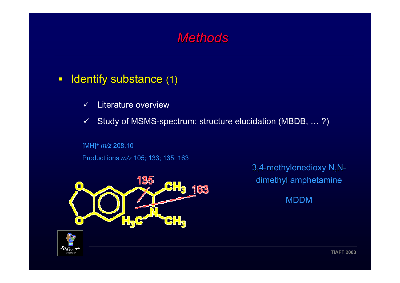# *Methods Methods*

#### $\Box$ Identify substance (1)

- $\checkmark$ Literature overview
- $\checkmark$ Study of MSMS-spectrum: structure elucidation (MBDB, … ?)

#### [MH]+ *m/z* 208.10

Product ions *m/z* 105; 133; 135; 163



3,4-methylenedioxy N,Ndimethyl amphetamine

MDDM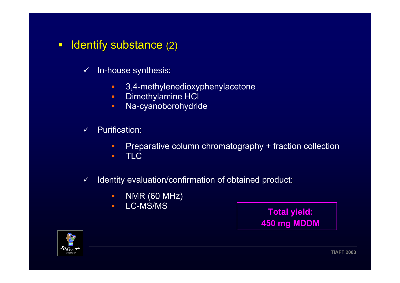- $\blacksquare$ Identify substance (2)
	- $\checkmark$  In-house synthesis:
		- $\blacksquare$ 3,4-methylenedioxyphenylacetone
		- $\blacksquare$ Dimethylamine HCl
		- ×. Na-cyanoborohydride
	- $\checkmark$  $\checkmark$  Purification:
		- Preparative column chromatography + fraction collection
		- n. TLC
	- $\checkmark$  Identity evaluation/confirmation of obtained product:
		- $\blacksquare$ NMR (60 MHz)
		- $\blacksquare$ LC-MS/MS

 **Total yield: 450 mg MDDM**

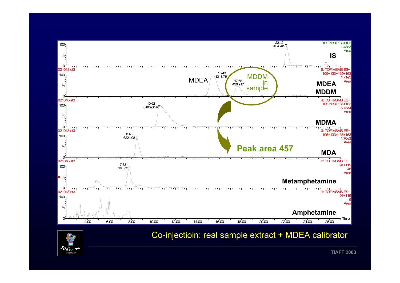

## Co-injectioin: real sample extract + MDEA calibrator

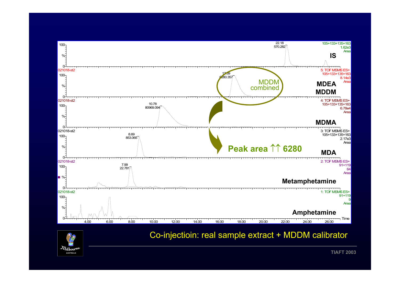

### Co-injectioin: real sample extract + MDDM calibrator

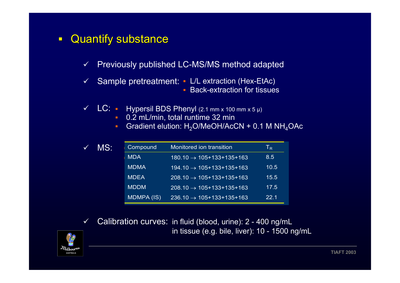#### $\blacksquare$ Quantify substance Quantify substance

- $\checkmark$ Previously published LC-MS/MS method adapted
- $\checkmark$  Sample pretreatment: L/L extraction (Hex-EtAc) **Back-extraction for tissues**
- $\checkmark$  LC:  $\blacksquare$  Hypersil BDS Phenyl (2.1 mm x 100 mm x 5 µ)
	- $\mathbf{E}^{(1)}$ 0.2 mL/min, total runtime 32 min
	- $\mathbf{u}$  . Gradient elution:  $H_2O/MeOH/AccN + 0.1 M NH_4OAc$

| MS:<br>$\checkmark$ |  | Compound          | Monitored ion transition                   | $\mathsf{T}_\mathsf{R}$ |
|---------------------|--|-------------------|--------------------------------------------|-------------------------|
|                     |  | <b>MDA</b>        | $180.10 \rightarrow 105+133+135+163$       | 8.5                     |
|                     |  | <b>MDMA</b>       | $194.10 \rightarrow 105 + 133 + 135 + 163$ | 10.5                    |
|                     |  | <b>MDEA</b>       | $1208.10 \rightarrow 105+133+135+163$      | 15.5                    |
|                     |  | <b>MDDM</b>       | $1208.10 \rightarrow 105+133+135+163$      | 17.5                    |
|                     |  | <b>MDMPA (IS)</b> | $236.10 \rightarrow 105+133+135+163$       | 22.1                    |

 $\checkmark$  Calibration curves: in fluid (blood, urine): 2 - 400 ng/mL in tissue (e.g. bile, liver): 10 - 1500 ng/mL

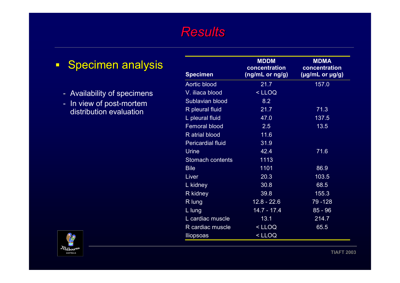# **Specimen analysis** - Availability of specimens - - In view of post-mortem distribution evaluation



 $\blacksquare$ 

| <b>Specimen</b>          | <b>MDDM</b><br>concentration<br>$(ng/mL$ or $ng/g)$ | <b>MDMA</b><br>concentration<br>$(\mu g/mL$ or $\mu g/g)$ |
|--------------------------|-----------------------------------------------------|-----------------------------------------------------------|
| <b>Aortic blood</b>      | 21.7                                                | 157.0                                                     |
| V. iliaca blood          | <lloq< td=""><td></td></lloq<>                      |                                                           |
| Sublavian blood          | 8.2                                                 |                                                           |
| R pleural fluid          | 21.7                                                | 71.3                                                      |
| L pleural fluid          | 47.0                                                | 137.5                                                     |
| <b>Femoral blood</b>     | 2.5                                                 | 13.5                                                      |
| R atrial blood           | 11.6                                                |                                                           |
| <b>Pericardial fluid</b> | 31.9                                                |                                                           |
| <b>Urine</b>             | 42.4                                                | 71.6                                                      |
| Stomach contents         | 1113                                                |                                                           |
| <b>Bile</b>              | 1101                                                | 86.9                                                      |
| Liver                    | 20.3                                                | 103.5                                                     |
| L kidney                 | 30.8                                                | 68.5                                                      |
| R kidney                 | 39.8                                                | 155.3                                                     |
| R lung                   | $12.8 - 22.6$                                       | 79 - 128                                                  |
| L lung                   | $14.7 - 17.4$                                       | $85 - 96$                                                 |
| L cardiac muscle         | 13.1                                                | 214.7                                                     |
| R cardiac muscle         | <lloq< td=""><td>65.5</td></lloq<>                  | 65.5                                                      |
| <b>Iliopsoas</b>         | $<$ LLOQ                                            |                                                           |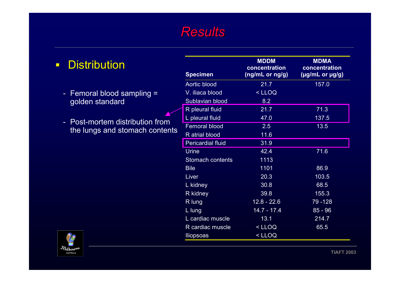| <b>Distribution</b> |  |
|---------------------|--|
|---------------------|--|

- Femoral blood sampling = golden standard
- Post-mortem distribution from the lungs and stomach contents

| <i>Melbour</i> re<br><b>AUSTRALIA</b> |
|---------------------------------------|
|---------------------------------------|

| <b>Specimen</b>          | <b>MDDM</b><br>concentration<br>$(ng/mL$ or $ng/g)$ | <b>MDMA</b><br>concentration<br>$(\mu g/mL$ or $\mu g/g)$ |
|--------------------------|-----------------------------------------------------|-----------------------------------------------------------|
| <b>Aortic blood</b>      | 21.7                                                | 157.0                                                     |
| V. iliaca blood          | <lloq< td=""><td></td></lloq<>                      |                                                           |
| Sublavian blood          | 8.2                                                 |                                                           |
| R pleural fluid          | 21.7                                                | 71.3                                                      |
| L pleural fluid          | 47.0                                                | 137.5                                                     |
| <b>Femoral blood</b>     | 2.5                                                 | 13.5                                                      |
| R atrial blood           | 11.6                                                |                                                           |
| <b>Pericardial fluid</b> | 31.9                                                |                                                           |
| <b>Urine</b>             | 42.4                                                | 71.6                                                      |
| <b>Stomach contents</b>  | 1113                                                |                                                           |
| <b>Bile</b>              | 1101                                                | 86.9                                                      |
| Liver                    | 20.3                                                | 103.5                                                     |
| L kidney                 | 30.8                                                | 68.5                                                      |
| R kidney                 | 39.8                                                | 155.3                                                     |
| R lung                   | $12.8 - 22.6$                                       | 79 - 128                                                  |
| L lung                   | $14.7 - 17.4$                                       | $85 - 96$                                                 |
| L cardiac muscle         | 13.1                                                | 214.7                                                     |
| R cardiac muscle         | <lloq< td=""><td>65.5</td></lloq<>                  | 65.5                                                      |
| <b>Iliopsoas</b>         | <lloq< td=""><td></td></lloq<>                      |                                                           |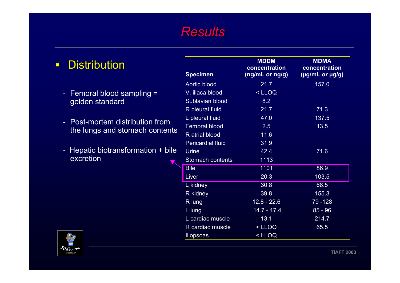| <b>Distribution</b> |
|---------------------|
|                     |

- Femoral blood sampling = golden standard
- Post-mortem distribution from the lungs and stomach contents
- Hepatic biotransformation + bile excretion



| <b>Specimen</b>          | <b>MDDM</b><br>concentration<br>(ng/mL or ng/g) | <b>MDMA</b><br>concentration<br>(µg/mL or µg/g) |
|--------------------------|-------------------------------------------------|-------------------------------------------------|
| Aortic blood             | 21.7                                            | 157.0                                           |
| V. iliaca blood          | <lloq< td=""><td></td></lloq<>                  |                                                 |
| Sublavian blood          | 8.2                                             |                                                 |
| R pleural fluid          | 21.7                                            | 71.3                                            |
| L pleural fluid          | 47.0                                            | 137.5                                           |
| <b>Femoral blood</b>     | 2.5                                             | 13.5                                            |
| R atrial blood           | 11.6                                            |                                                 |
| <b>Pericardial fluid</b> | 31.9                                            |                                                 |
| <b>Urine</b>             | 42.4                                            | 71.6                                            |
| <b>Stomach contents</b>  | 1113                                            |                                                 |
| <b>Bile</b>              | 1101                                            | 86.9                                            |
| Liver                    | 20.3                                            | 103.5                                           |
| L kidney                 | 30.8                                            | 68.5                                            |
| R kidney                 | 39.8                                            | 155.3                                           |
| R lung                   | $12.8 - 22.6$                                   | 79 - 128                                        |
| L lung                   | $14.7 - 17.4$                                   | $85 - 96$                                       |
| L cardiac muscle         | 13.1                                            | 214.7                                           |
| R cardiac muscle         | $<$ LLOQ                                        | 65.5                                            |
| <b>Iliopsoas</b>         | <lloq< td=""><td></td></lloq<>                  |                                                 |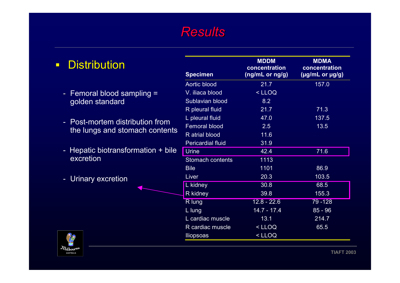| <b>Distribution</b><br>$\Box$              | <b>Specimen</b>          | <b>MDDM</b><br>concentration<br>(ng/mL or ng/g) | <b>MDMA</b><br>concentration<br>$(\mu g/mL$ or $\mu g/g)$ |
|--------------------------------------------|--------------------------|-------------------------------------------------|-----------------------------------------------------------|
|                                            | Aortic blood             | 21.7                                            | 157.0                                                     |
| - Femoral blood sampling $=$               | V. iliaca blood          | $<$ LLOQ                                        |                                                           |
| golden standard                            | Sublavian blood          | 8.2                                             |                                                           |
|                                            | R pleural fluid          | 21.7                                            | 71.3                                                      |
|                                            | L pleural fluid          | 47.0                                            | 137.5                                                     |
| Post-mortem distribution from<br>$\sim$    | <b>Femoral blood</b>     | 2.5                                             | 13.5                                                      |
| the lungs and stomach contents             | R atrial blood           | 11.6                                            |                                                           |
|                                            | <b>Pericardial fluid</b> | 31.9                                            |                                                           |
| Hepatic biotransformation + bile<br>$\sim$ | <b>Urine</b>             | 42.4                                            | 71.6                                                      |
| excretion                                  | Stomach contents         | 1113                                            |                                                           |
|                                            | <b>Bile</b>              | 1101                                            | 86.9                                                      |
| Urinary excretion<br>$\sim$                | Liver                    | 20.3                                            | 103.5                                                     |
|                                            | L kidney                 | 30.8                                            | 68.5                                                      |
|                                            | R kidney                 | 39.8                                            | 155.3                                                     |
|                                            | R lung                   | $12.8 - 22.6$                                   | 79 - 128                                                  |
|                                            | L lung                   | $14.7 - 17.4$                                   | $85 - 96$                                                 |
|                                            | L cardiac muscle         | 13.1                                            | 214.7                                                     |
|                                            | R cardiac muscle         | $<$ LLOQ                                        | 65.5                                                      |
| $\gamma_{\odot}$                           | <b>Iliopsoas</b>         | $<$ LLOQ                                        |                                                           |